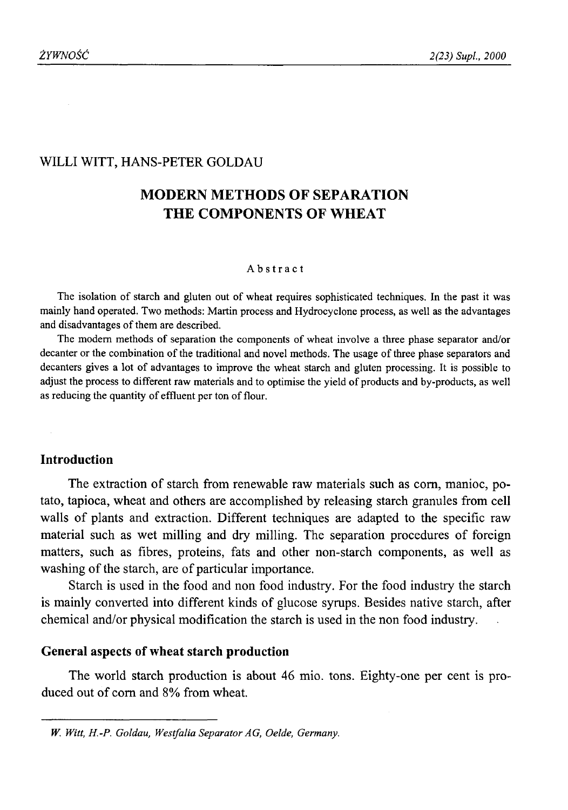## WILLI WITT, HANS-PETER GOLDAU

# **MODERN METHODS OF SEPARATION THE COMPONENTS OF WHEAT**

#### Abstract

The isolation of starch and gluten out of wheat requires sophisticated techniques. In the past it was mainly hand operated. Two methods: Martin process and Hydrocyclone process, as well as the advantages and disadvantages of them are described.

The modem methods of separation the components of wheat involve a three phase separator and/or decanter or the combination of the traditional and novel methods. The usage of three phase separators and decanters gives a lot of advantages to improve the wheat starch and gluten processing. It is possible to adjust the process to different raw materials and to optimise the yield of products and by-products, as well as reducing the quantity of effluent per ton of flour.

## **Introduction**

The extraction of starch from renewable raw materials such as com, manioc, potato, tapioca, wheat and others are accomplished by releasing starch granules from cell walls of plants and extraction. Different techniques are adapted to the specific raw material such as wet milling and dry milling. The separation procedures of foreign matters, such as fibres, proteins, fats and other non-starch components, as well as washing of the starch, are of particular importance.

Starch is used in the food and non food industry. For the food industry the starch is mainly converted into different kinds of glucose symps. Besides native starch, after chemical and/or physical modification the starch is used in the non food industry.

### **General aspects of wheat starch production**

The world starch production is about 46 mio. tons. Eighty-one per cent is produced out of com and 8% from wheat.

*W. Witt, H.-P. Goldau, Westfalia Separator AG, Oelde, Germany.*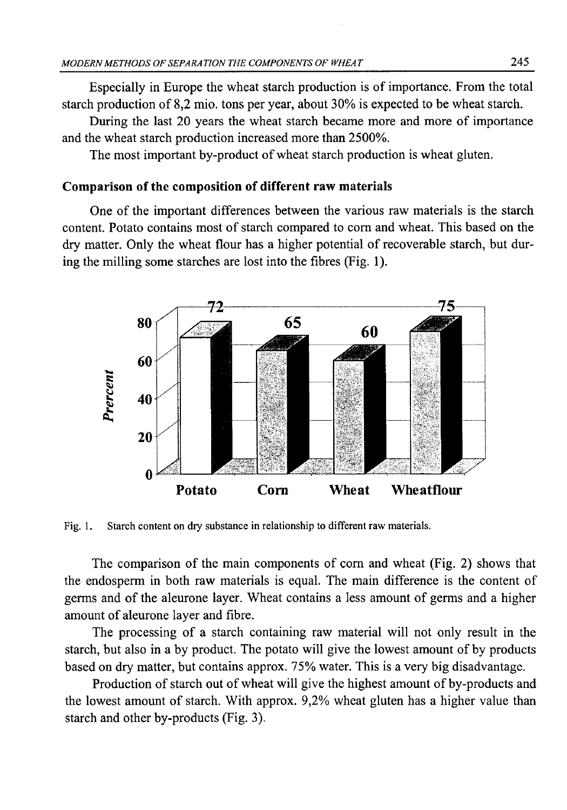Especially in Europe the wheat starch production is of importance. From the total starch production of 8,2 mio. tons per year, about 30% is expected to be wheat starch.

During the last 20 years the wheat starch became more and more of importance and the wheat starch production increased more than 2500%.

The most important by-product of wheat starch production is wheat gluten.

## **Comparison of the composition of different raw materials**

One of the important differences between the various raw materials is the starch content. Potato contains most of starch compared to corn and wheat. This based on the dry matter. Only the wheat flour has a higher potential of recoverable starch, but during the milling some starches are lost into the fibres (Fig. 1).



Fig. 1. Starch content on dry substance in relationship to different raw materials.

The comparison of the main components of com and wheat (Fig. 2) shows that the endosperm in both raw materials is equal. The main difference is the content of germs and of the aleurone layer. Wheat contains a less amount of germs and a higher amount of aleurone layer and fibre.

The processing of a starch containing raw material will not only result in the starch, but also in a by product. The potato will give the lowest amount of by products based on dry matter, but contains approx. 75% water. This is a very big disadvantage.

Production of starch out of wheat will give the highest amount of by-products and the lowest amount of starch. With approx. 9,2% wheat gluten has a higher value than starch and other by-products (Fig. 3).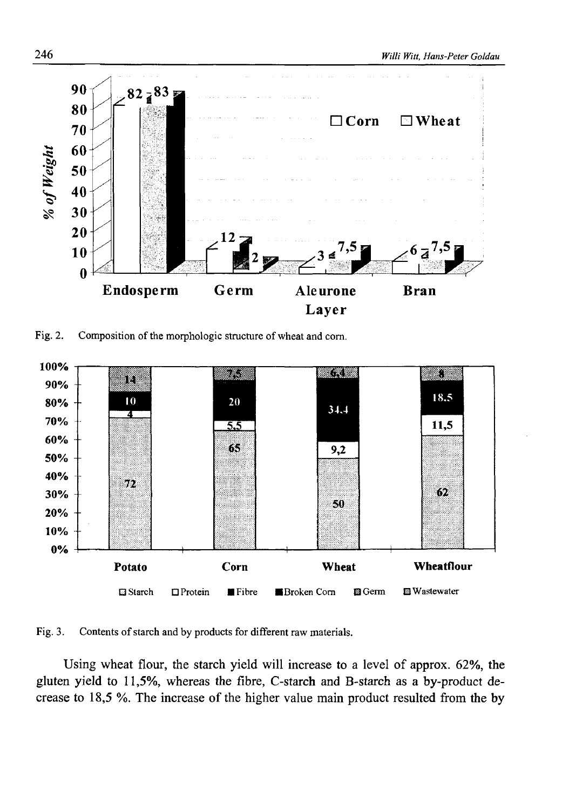

Fig. 2. Composition of the morphologic structure of wheat and corn.



Fig. 3. Contents of starch and by products for different raw materials.

Using wheat flour, the starch yield will increase to a level of approx. 62%, the gluten yield to 11,5%, whereas the fibre, C-starch and B-starch as a by-product decrease to 18,5 %. The increase of the higher value main product resulted from the by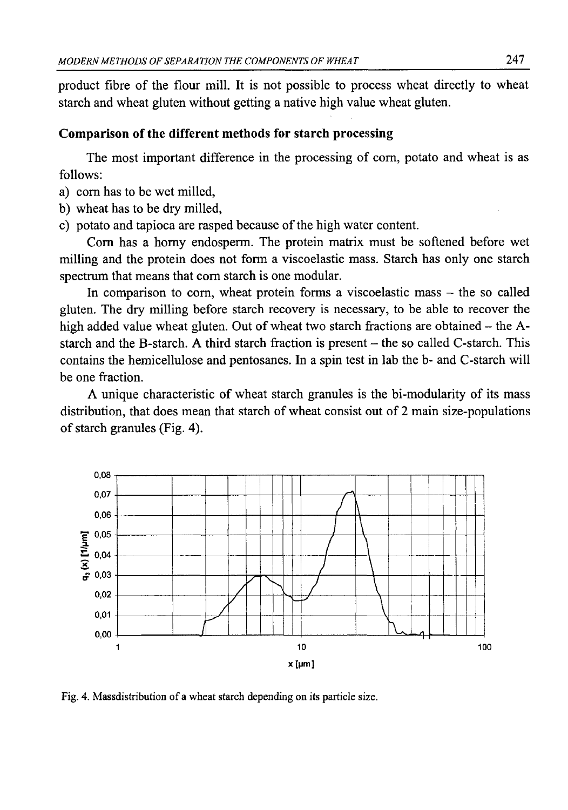product fibre of the flour mill. It is not possible to process wheat directly to wheat starch and wheat gluten without getting a native high value wheat gluten.

### **Comparison of the different methods for starch processing**

The most important difference in the processing of com, potato and wheat is as follows:

- a) com has to be wet milled,
- b) wheat has to be dry milled,
- c) potato and tapioca are rasped because of the high water content.

Com has a homy endosperm. The protein matrix must be softened before wet milling and the protein does not form a viscoelastic mass. Starch has only one starch spectrum that means that corn starch is one modular.

In comparison to corn, wheat protein forms a viscoelastic mass  $-$  the so called gluten. The dry milling before starch recovery is necessary, to be able to recover the high added value wheat gluten. Out of wheat two starch fractions are obtained – the Astarch and the B-starch. A third starch fraction is present - the so called C-starch. This contains the hemicellulose and pentosanes. In a spin test in lab the b- and C-starch will be one fraction.

A unique characteristic of wheat starch granules is the bi-modularity of its mass distribution, that does mean that starch of wheat consist out of 2 main size-populations of starch granules (Fig. 4).



Fig. 4. Massdistribution of a wheat starch depending on its particle size.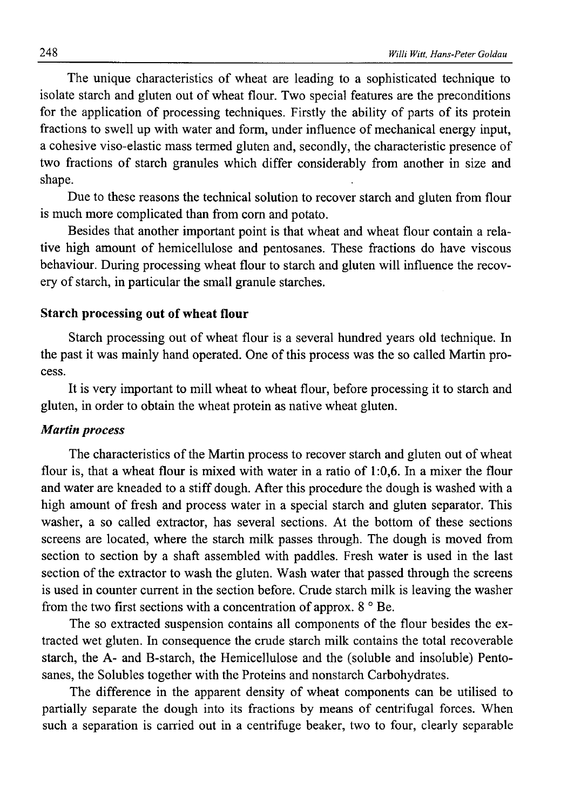The unique characteristics of wheat are leading to a sophisticated technique to isolate starch and gluten out of wheat flour. Two special features are the preconditions for the application of processing techniques. Firstly the ability of parts of its protein fractions to swell up with water and form, under influence of mechanical energy input, a cohesive viso-elastic mass termed gluten and, secondly, the characteristic presence of two fractions of starch granules which differ considerably from another in size and shape.

Due to these reasons the technical solution to recover starch and gluten from flour is much more complicated than from com and potato.

Besides that another important point is that wheat and wheat flour contain a relative high amount of hemicellulose and pentosanes. These fractions do have viscous behaviour. During processing wheat flour to starch and gluten will influence the recovery of starch, in particular the small granule starches.

#### **Starch processing out of wheat flour**

Starch processing out of wheat flour is a several hundred years old technique. In the past it was mainly hand operated. One of this process was the so called Martin process.

It is very important to mill wheat to wheat flour, before processing it to starch and gluten, in order to obtain the wheat protein as native wheat gluten.

#### *Martin process*

The characteristics of the Martin process to recover starch and gluten out of wheat flour is, that a wheat flour is mixed with water in a ratio of 1:0,6. In a mixer the flour and water are kneaded to a stiff dough. After this procedure the dough is washed with a high amount of fresh and process water in a special starch and gluten separator. This washer, a so called extractor, has several sections. At the bottom of these sections screens are located, where the starch milk passes through. The dough is moved from section to section by a shaft assembled with paddles. Fresh water is used in the last section of the extractor to wash the gluten. Wash water that passed through the screens is used in counter current in the section before. Crude starch milk is leaving the washer from the two first sections with a concentration of approx.  $8^\circ$  Be.

The so extracted suspension contains all components of the flour besides the extracted wet gluten. In consequence the crude starch milk contains the total recoverable starch, the A- and B-starch, the Hemicellulose and the (soluble and insoluble) Pentosanes, the Solubles together with the Proteins and nonstarch Carbohydrates.

The difference in the apparent density of wheat components can be utilised to partially separate the dough into its fractions by means of centrifugal forces. When such a separation is carried out in a centrifuge beaker, two to four, clearly separable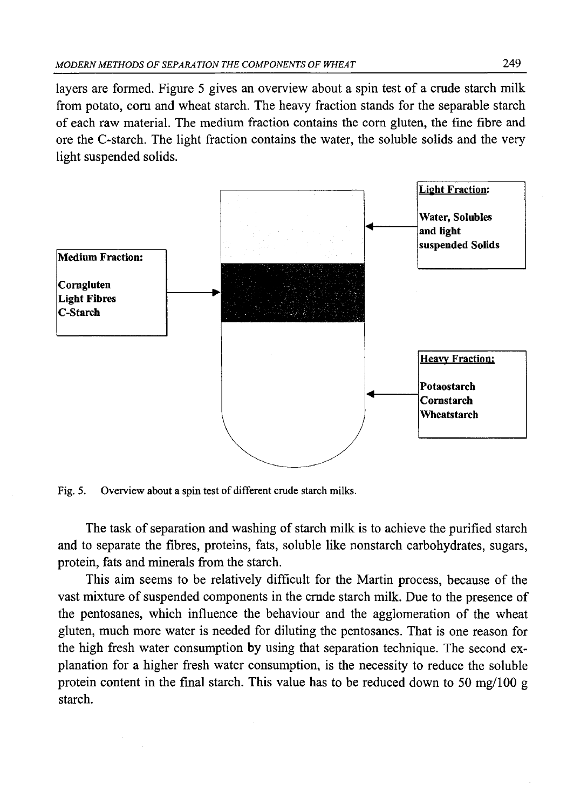layers are formed. Figure 5 gives an overview about a spin test of a crude starch milk from potato, com and wheat starch. The heavy fraction stands for the separable starch of each raw material. The medium fraction contains the com gluten, the fine fibre and ore the C-starch. The light fraction contains the water, the soluble solids and the very light suspended solids.



Fig. 5. Overview about a spin test of different crude starch milks.

The task of separation and washing of starch milk is to achieve the purified starch and to separate the fibres, proteins, fats, soluble like nonstarch carbohydrates, sugars, protein, fats and minerals from the starch.

This aim seems to be relatively difficult for the Martin process, because of the vast mixture of suspended components in the cmde starch milk. Due to the presence of the pentosanes, which influence the behaviour and the agglomeration of the wheat gluten, much more water is needed for diluting the pentosanes. That is one reason for the high fresh water consumption by using that separation technique. The second explanation for a higher fresh water consumption, is the necessity to reduce the soluble protein content in the final starch. This value has to be reduced down to 50 mg/100 g starch.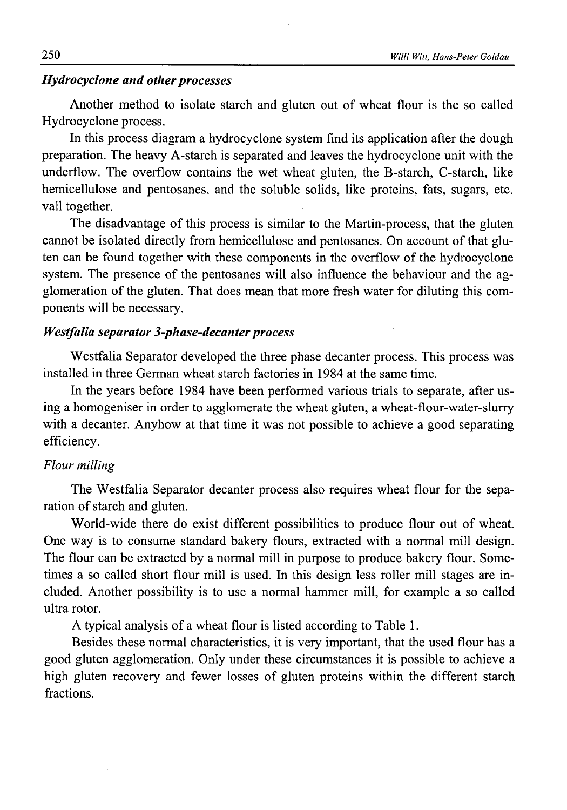### *Hydrocyclone and other processes*

Another method to isolate starch and gluten out of wheat flour is the so called Hydrocyclone process.

In this process diagram a hydrocyclone system find its application after the dough preparation. The heavy A-starch is separated and leaves the hydrocyclone unit with the underflow. The overflow contains the wet wheat gluten, the B-starch, C-starch, like hemicellulose and pentosanes, and the soluble solids, like proteins, fats, sugars, etc. vall together.

The disadvantage of this process is similar to the Martin-process, that the gluten cannot be isolated directly from hemicellulose and pentosanes. On account of that gluten can be found together with these components in the overflow of the hydrocyclone system. The presence of the pentosanes will also influence the behaviour and the agglomeration of the gluten. That does mean that more fresh water for diluting this components will be necessary.

## **Westfalia separator 3-phase-decanter process**

Westfalia Separator developed the three phase decanter process. This process was installed in three German wheat starch factories in 1984 at the same time.

In the years before 1984 have been performed various trials to separate, after using a homogeniser in order to agglomerate the wheat gluten, a wheat-flour-water-slurry with a decanter. Anyhow at that time it was not possible to achieve a good separating efficiency.

#### *Flour milling*

The Westfalia Separator decanter process also requires wheat flour for the separation of starch and gluten.

World-wide there do exist different possibilities to produce flour out of wheat. One way is to consume standard bakery flours, extracted with a normal mill design. The flour can be extracted by a normal mill in purpose to produce bakery flour. Sometimes a so called short flour mill is used. In this design less roller mill stages are included. Another possibility is to use a normal hammer mill, for example a so called ultra rotor.

A typical analysis of a wheat flour is listed according to Table 1.

Besides these normal characteristics, it is very important, that the used flour has a good gluten agglomeration. Only under these circumstances it is possible to achieve a high gluten recovery and fewer losses of gluten proteins within the different starch fractions.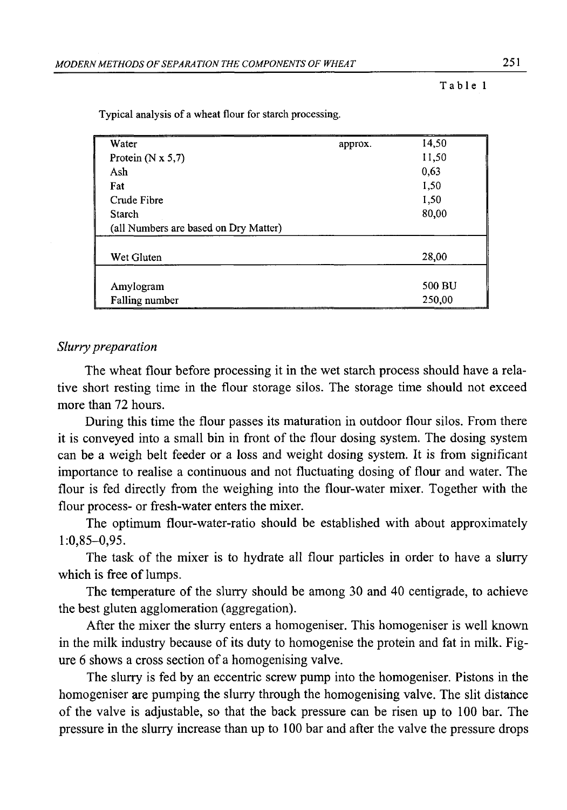Table 1

| Water                                 | approx. | 14.50  |
|---------------------------------------|---------|--------|
| Protein $(N \times 5,7)$              |         | 11,50  |
| Ash                                   |         | 0,63   |
| Fat                                   |         | 1,50   |
| Crude Fibre                           |         | 1,50   |
| Starch                                |         | 80,00  |
| (all Numbers are based on Dry Matter) |         |        |
|                                       |         |        |
| Wet Gluten                            |         | 28,00  |
|                                       |         |        |
| Amylogram                             |         | 500 BU |
| Falling number                        |         | 250,00 |

Typical analysis of a wheat flour for starch processing.

#### *Slurry preparation*

The wheat flour before processing it in the wet starch process should have a relative short resting time in the flour storage silos. The storage time should not exceed more than 72 hours.

During this time the flour passes its maturation in outdoor flour silos. From there it is conveyed into a small bin in front of the flour dosing system. The dosing system can be a weigh belt feeder or a loss and weight dosing system. It is from significant importance to realise a continuous and not fluctuating dosing of flour and water. The flour is fed directly from the weighing into the flour-water mixer. Together with the flour process- or fresh-water enters the mixer.

The optimum flour-water-ratio should be established with about approximately 1:0,85-0,95.

The task of the mixer is to hydrate all flour particles in order to have a slurry which is free of lumps.

The temperature of the slurry should be among 30 and 40 centigrade, to achieve the best gluten agglomeration (aggregation).

After the mixer the slurry enters a homogeniser. This homogeniser is well known in the milk industry because of its duty to homogenise the protein and fat in milk. Figure 6 shows a cross section of a homogenising valve.

The slurry is fed by an eccentric screw pump into the homogeniser. Pistons in the homogeniser are pumping the slurry through the homogenising valve. The slit distance of the valve is adjustable, so that the back pressure can be risen up to 100 bar. The pressure in the slurry increase than up to 100 bar and after the valve the pressure drops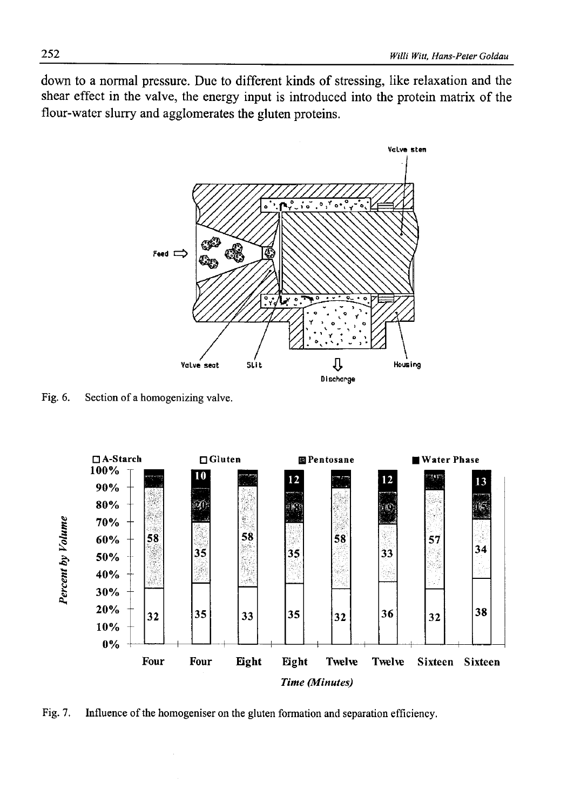down to a normal pressure. Due to different kinds of stressing, like relaxation and the shear effect in the valve, the energy input is introduced into the protein matrix of the flour-water slurry and agglomerates the gluten proteins.



Fig. 6. Section of a homogenizing valve.

**5** £ **I** £ £ **□ A-Starch 100% 90% 80% 70% 60% 50% 40% 30% 20%** 10% 0% □ Gluten **I IPentosane** I Water Phase **-- — <sup>B</sup> <sup>D</sup> B 13 - H** *a* **i l l 58 58 58 B e s 57 : <sup>35</sup> 35 33 <sup>34</sup> - <sup>32</sup> <sup>35</sup> <sup>33</sup> <sup>35</sup> <sup>32</sup> <sup>36</sup> <sup>32</sup> <sup>38</sup> — 1— — 1— — i— — 1— — i— — 1— — I— Four Four Eight Eight Twelve Twelve Sixteen Sixteen** *Time (Minutes)*

Fig. 7. Influence of the homogeniser on the gluten formation and separation efficiency.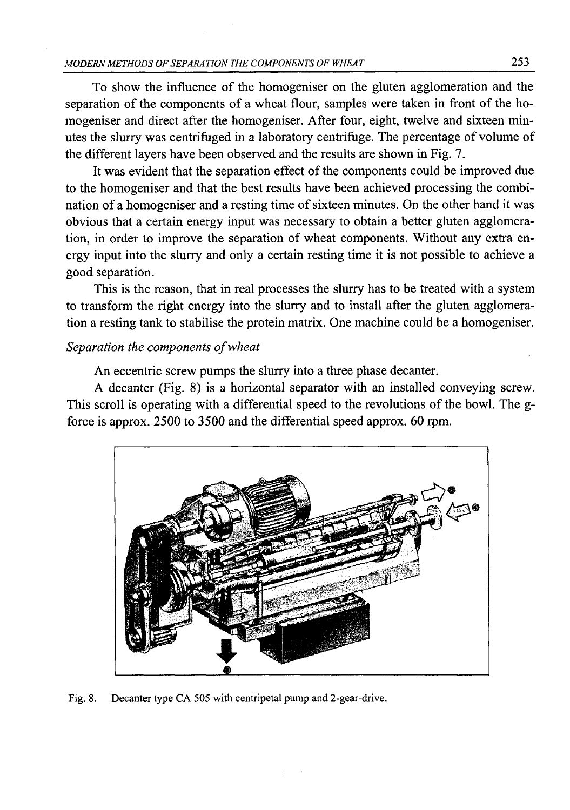To show the influence of the homogeniser on the gluten agglomeration and the separation of the components of a wheat flour, samples were taken in front of the homogeniser and direct after the homogeniser. After four, eight, twelve and sixteen minutes the slurry was centrifuged in a laboratory centrifuge. The percentage of volume of the different layers have been observed and the results are shown in Fig. 7.

It was evident that the separation effect of the components could be improved due to the homogeniser and that the best results have been achieved processing the combination of a homogeniser and a resting time of sixteen minutes. On the other hand it was obvious that a certain energy input was necessary to obtain a better gluten agglomeration, in order to improve the separation of wheat components. Without any extra energy input into the slurry and only a certain resting time it is not possible to achieve a good separation.

This is the reason, that in real processes the slurry has to be treated with a system to transform the right energy into the slurry and to install after the gluten agglomeration a resting tank to stabilise the protein matrix. One machine could be a homogeniser.

## *Separation the components of wheat*

An eccentric screw pumps the slurry into a three phase decanter.

A decanter (Fig. 8) is a horizontal separator with an installed conveying screw. This scroll is operating with a differential speed to the revolutions of the bowl. The gforce is approx. 2500 to 3500 and the differential speed approx. 60 rpm.



Fig. 8. Decanter type CA 505 with centripetal pump and 2-gear-drive.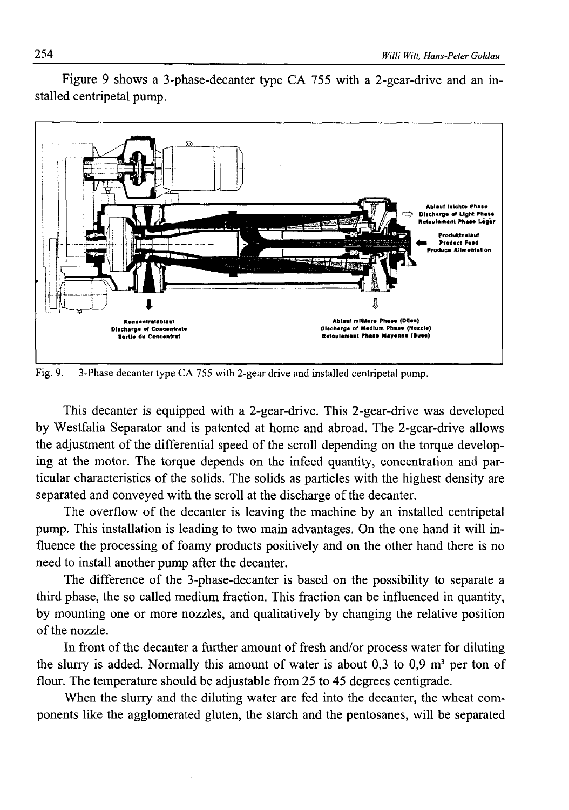

Figure 9 shows a 3-phase-decanter type CA 755 with a 2-gear-drive and an installed centripetal pump.

Fig. 9. 3-Phase decanter type CA 755 with 2-gear drive and installed centripetal pump.

This decanter is equipped with a 2-gear-drive. This 2-gear-drive was developed by Westfalia Separator and is patented at home and abroad. The 2-gear-drive allows the adjustment of the differential speed of the scroll depending on the torque developing at the motor. The torque depends on the infeed quantity, concentration and particular characteristics of the solids. The solids as particles with the highest density are separated and conveyed with the scroll at the discharge of the decanter.

The overflow of the decanter is leaving the machine by an installed centripetal pump. This installation is leading to two main advantages. On the one hand it will influence the processing of foamy products positively and on the other hand there is no need to install another pump after the decanter.

The difference of the 3-phase-decanter is based on the possibility to separate a third phase, the so called medium fraction. This fraction can be influenced in quantity, by mounting one or more nozzles, and qualitatively by changing the relative position of the nozzle.

In front of the decanter a further amount of fresh and/or process water for diluting the slurry is added. Normally this amount of water is about 0,3 to 0,9  $m<sup>3</sup>$  per ton of flour. The temperature should be adjustable from 25 to 45 degrees centigrade.

When the slurry and the diluting water are fed into the decanter, the wheat components like the agglomerated gluten, the starch and the pentosanes, will be separated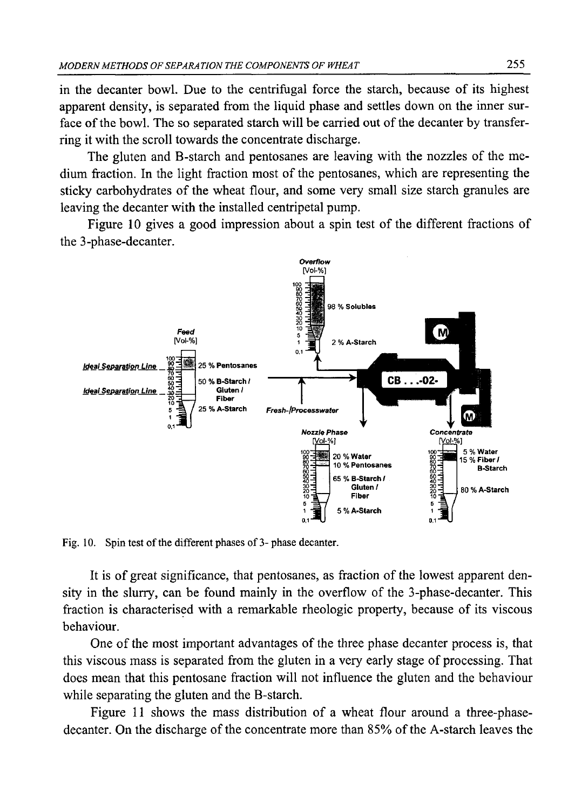in the decanter bowl. Due to the centrifugal force the starch, because of its highest apparent density, is separated from the liquid phase and settles down on the inner surface of the bowl. The so separated starch will be carried out of the decanter by transferring it with the scroll towards the concentrate discharge.

The gluten and B-starch and pentosanes are leaving with the nozzles of the medium fraction. In the light fraction most of the pentosanes, which are representing the sticky carbohydrates of the wheat flour, and some very small size starch granules are leaving the decanter with the installed centripetal pump.

Figure 10 gives a good impression about a spin test of the different fractions of the 3-phase-decanter.



Fig. 10. Spin test of the different phases of 3- phase decanter.

It is of great significance, that pentosanes, as fraction of the lowest apparent density in the slurry, can be found mainly in the overflow of the 3-phase-decanter. This fraction is characterised with a remarkable rheologic property, because of its viscous behaviour.

One of the most important advantages of the three phase decanter process is, that this viscous mass is separated from the gluten in a very early stage of processing. That does mean that this pentosane fraction will not influence the gluten and the behaviour while separating the gluten and the B-starch.

Figure 11 shows the mass distribution of a wheat flour around a three-phasedecanter. On the discharge of the concentrate more than 85% of the A-starch leaves the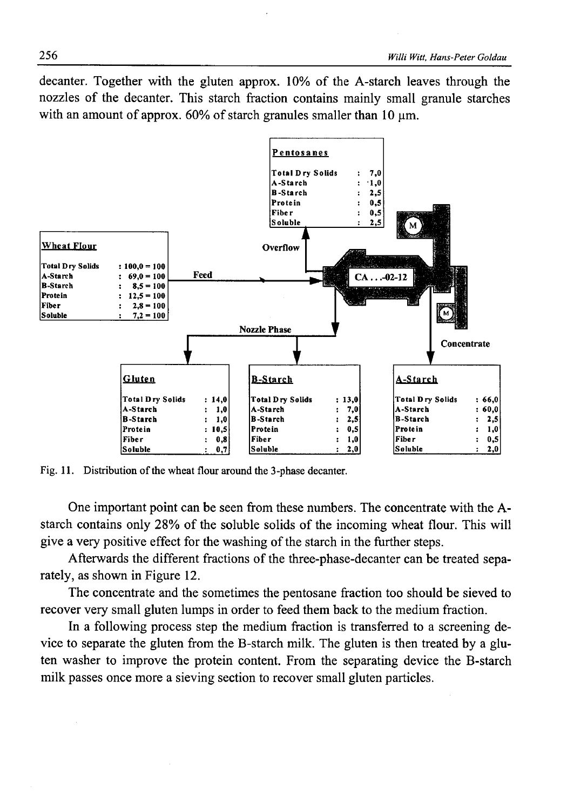decanter. Together with the gluten approx. 10% of the A-starch leaves through the nozzles of the decanter. This starch fraction contains mainly small granule starches with an amount of approx. 60% of starch granules smaller than 10  $\mu$ m.



Fig. 11. Distribution of the wheat flour around the 3-phase decanter.

One important point can be seen from these numbers. The concentrate with the Astarch contains only 28% of the soluble solids of the incoming wheat flour. This will give a very positive effect for the washing of the starch in the further steps.

Afterwards the different fractions of the three-phase-decanter can be treated separately, as shown in Figure 12.

The concentrate and the sometimes the pentosane fraction too should be sieved to recover very small gluten lumps in order to feed them back to the medium fraction.

In a following process step the medium fraction is transferred to a screening device to separate the gluten from the B-starch milk. The gluten is then treated by a gluten washer to improve the protein content. From the separating device the B-starch milk passes once more a sieving section to recover small gluten particles.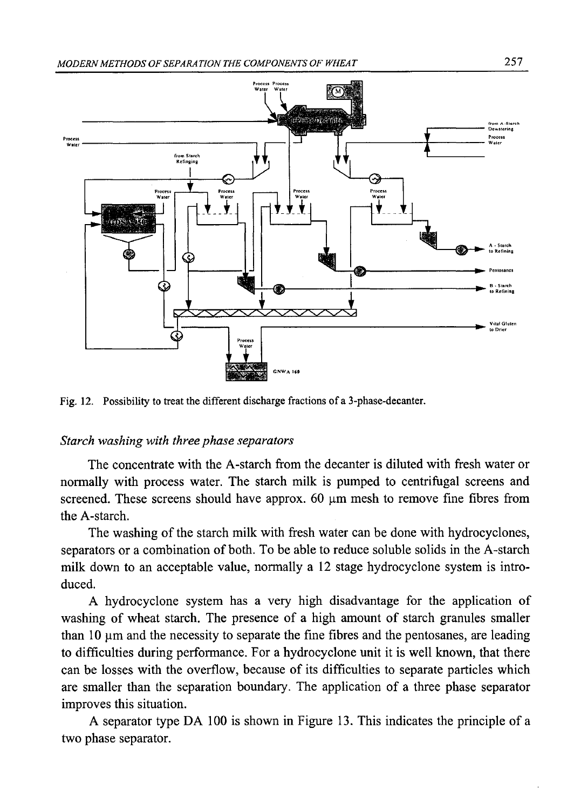

Fig. 12. Possibility to treat the different discharge fractions of a 3-phase-decanter.

#### *Starch washing with three phase separators*

The concentrate with the A-starch from the decanter is diluted with fresh water or normally with process water. The starch milk is pumped to centrifugal screens and screened. These screens should have approx.  $60 \mu m$  mesh to remove fine fibres from the A-starch.

The washing of the starch milk with fresh water can be done with hydrocyclones, separators or a combination of both. To be able to reduce soluble solids in the A-starch milk down to an acceptable value, normally a 12 stage hydrocyclone system is introduced.

A hydrocyclone system has a very high disadvantage for the application of washing of wheat starch. The presence of a high amount of starch granules smaller than  $10 \mu$ m and the necessity to separate the fine fibres and the pentosanes, are leading to difficulties during performance. For a hydrocyclone unit it is well known, that there can be losses with the overflow, because of its difficulties to separate particles which are smaller than the separation boundary. The application of a three phase separator improves this situation.

A separator type DA 100 is shown in Figure 13. This indicates the principle of a two phase separator.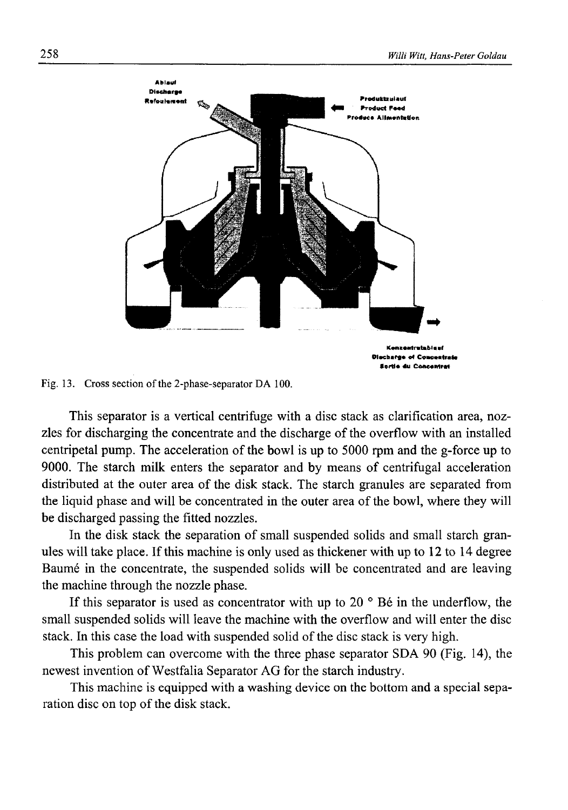

Fig. 13. Cross section of the 2-phase-separator DA 100.

This separator is a vertical centrifuge with a disc stack as clarification area, nozzles for discharging the concentrate and the discharge of the overflow with an installed centripetal pump. The acceleration of the bowl is up to 5000 rpm and the g-force up to 9000. The starch milk enters the separator and by means of centrifugal acceleration distributed at the outer area of the disk stack. The starch granules are separated from the liquid phase and will be concentrated in the outer area of the bowl, where they will be discharged passing the fitted nozzles.

In the disk stack the separation of small suspended solids and small starch granules will take place. If this machine is only used as thickener with up to 12 to 14 degree Baume in the concentrate, the suspended solids will be concentrated and are leaving the machine through the nozzle phase.

If this separator is used as concentrator with up to 20 $\degree$  Bé in the underflow, the small suspended solids will leave the machine with the overflow and will enter the disc stack. In this case the load with suspended solid of the disc stack is very high.

This problem can overcome with the three phase separator SDA 90 (Fig. 14), the newest invention of Westfalia Separator AG for the starch industry.

This machine is equipped with a washing device on the bottom and a special separation disc on top of the disk stack.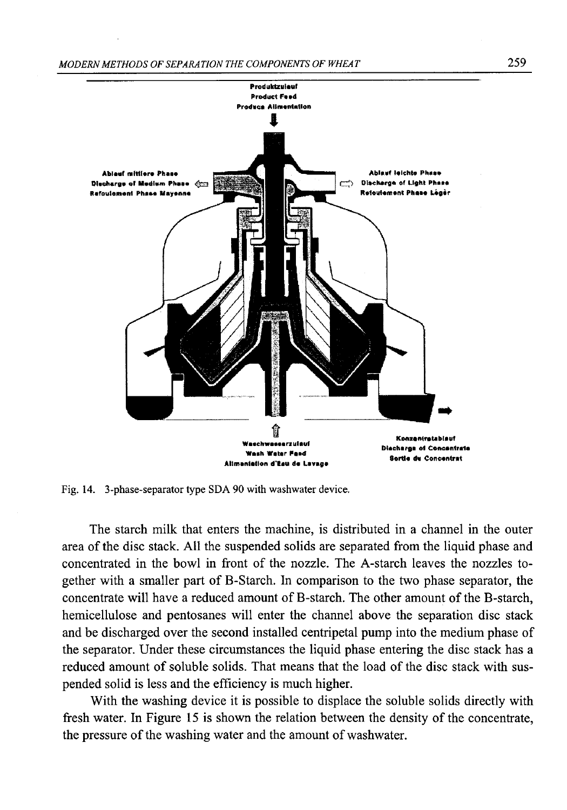

Fig. 14. 3-phase-separator type SDA 90 with washwater device.

The starch milk that enters the machine, is distributed in a channel in the outer area of the disc stack. All the suspended solids are separated from the liquid phase and concentrated in the bowl in front of the nozzle. The A-starch leaves the nozzles together with a smaller part of B-Starch. In comparison to the two phase separator, the concentrate will have a reduced amount of B-starch. The other amount of the B-starch, hemicellulose and pentosanes will enter the channel above the separation disc stack and be discharged over the second installed centripetal pump into the medium phase of the separator. Under these circumstances the liquid phase entering the disc stack has a reduced amount of soluble solids. That means that the load of the disc stack with suspended solid is less and the efficiency is much higher.

With the washing device it is possible to displace the soluble solids directly with fresh water. In Figure 15 is shown the relation between the density of the concentrate, the pressure of the washing water and the amount of washwater.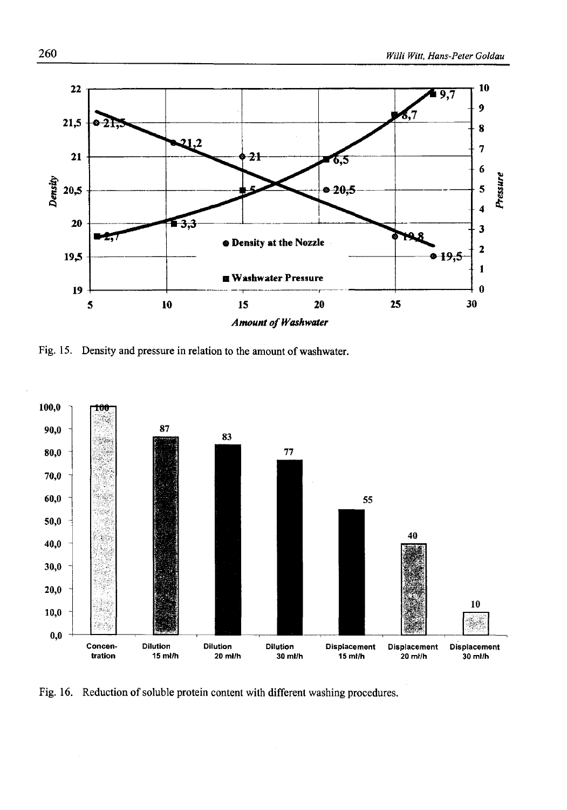

Fig. 15. Density and pressure in relation to the amount of washwater.



Fig. 16. Reduction of soluble protein content with different washing procedures.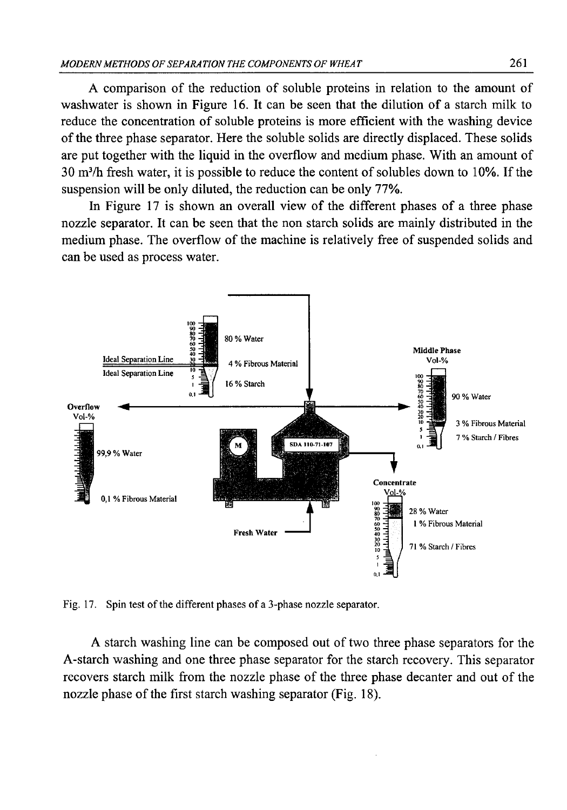A comparison of the reduction of soluble proteins in relation to the amount of washwater is shown in Figure 16. It can be seen that the dilution of a starch milk to reduce the concentration of soluble proteins is more efficient with the washing device of the three phase separator. Here the soluble solids are directly displaced. These solids are put together with the liquid in the overflow and medium phase. With an amount of 30 m3/h fresh water, it is possible to reduce the content of solubles down to 10%. If the suspension will be only diluted, the reduction can be only 77%.

In Figure 17 is shown an overall view of the different phases of a three phase nozzle separator. It can be seen that the non starch solids are mainly distributed in the medium phase. The overflow of the machine is relatively free of suspended solids and can be used as process water.



Fig. 17. Spin test of the different phases of a 3-phase nozzle separator.

A starch washing line can be composed out of two three phase separators for the A-starch washing and one three phase separator for the starch recovery. This separator recovers starch milk from the nozzle phase of the three phase decanter and out of the nozzle phase of the first starch washing separator (Fig. 18).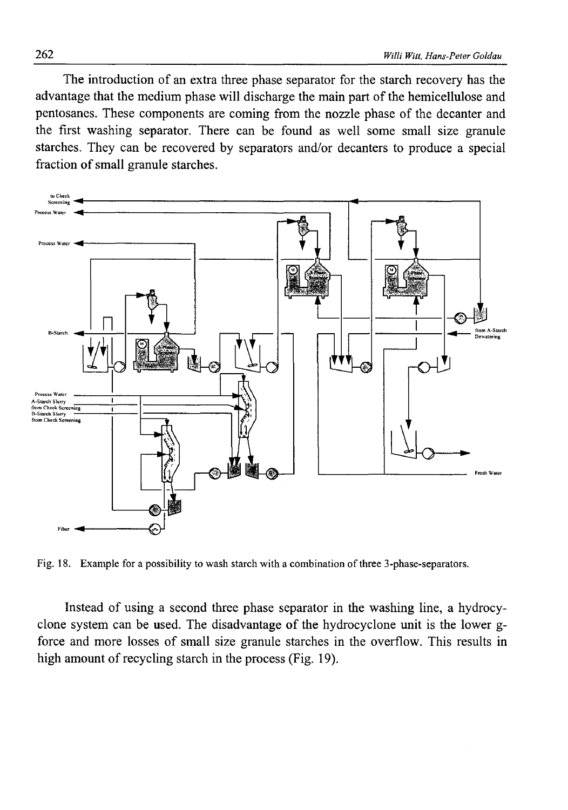The introduction of an extra three phase separator for the starch recovery has the advantage that the medium phase will discharge the main part of the hemicellulose and pentosanes. These components are coming from the nozzle phase of the decanter and the first washing separator. There can be found as well some small size granule starches. They can be recovered by separators and/or decanters to produce a special fraction of small granule starches.



Fig. 18. Example for a possibility to wash starch with a combination of three 3-phase-separators.

Instead of using a second three phase separator in the washing line, a hydrocyclone system can be used. The disadvantage of the hydrocyclone unit is the lower gforce and more losses of small size granule starches in the overflow. This results in high amount of recycling starch in the process (Fig. 19).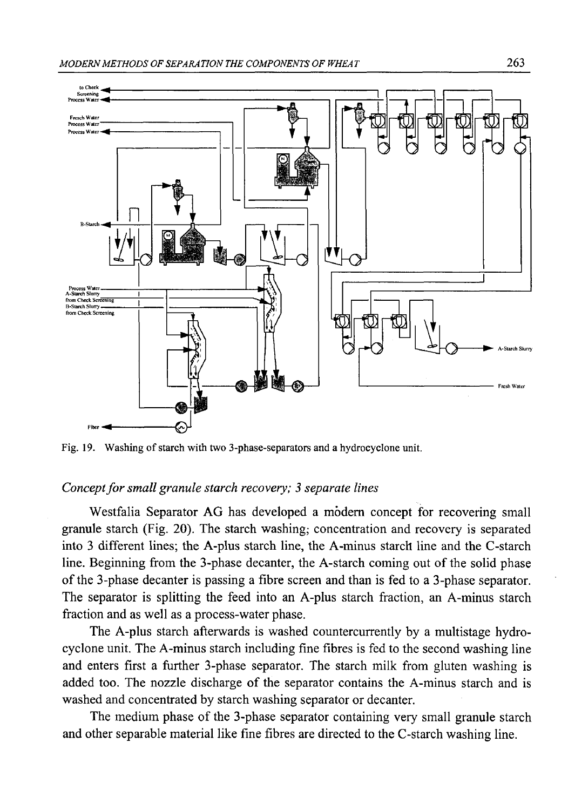

Fig. 19. Washing of starch with two 3-phase-separators and a hydrocyclone unit.

#### *Concept for small granule starch recovery; 3 separate lines*

Westfalia Separator AG has developed a modem concept for recovering small granule starch (Fig. 20). The starch washing; concentration and recovery is separated into 3 different lines; the A-plus starch line, the A-minus starch line and the C-starch line. Beginning from the 3-phase decanter, the A-starch coming out of the solid phase of the 3-phase decanter is passing a fibre screen and than is fed to a 3-phase separator. The separator is splitting the feed into an A-plus starch fraction, an A-minus starch fraction and as well as a process-water phase.

The A-plus starch afterwards is washed countercurrently by a multistage hydrocyclone unit. The A-minus starch including fine fibres is fed to the second washing line and enters first a further 3-phase separator. The starch milk from gluten washing is added too. The nozzle discharge of the separator contains the A-minus starch and is washed and concentrated by starch washing separator or decanter.

The medium phase of the 3-phase separator containing very small granule starch and other separable material like fine fibres are directed to the C-starch washing line.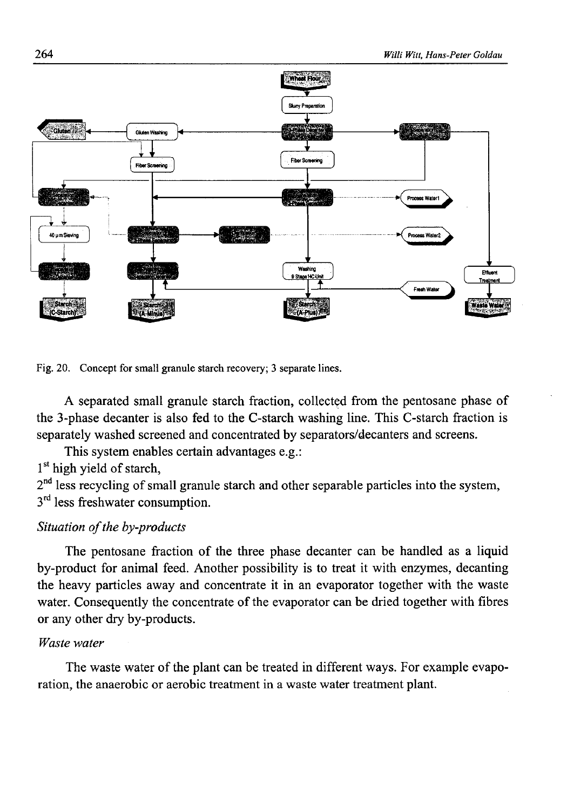

Fig. 20. Concept for smali granule starch recovery; 3 separate lines.

A separated small granule starch fraction, collected from the pentosane phase of the 3-phase decanter is also fed to the C-starch washing line. This C-starch fraction is separately washed screened and concentrated by separators/decanters and screens.

This system enables certain advantages e.g.:

1<sup>st</sup> high yield of starch,

 $2<sup>nd</sup>$  less recycling of small granule starch and other separable particles into the system,  $3<sup>rd</sup>$  less freshwater consumption.

## *Situation of the by-products*

The pentosane fraction of the three phase decanter can be handled as a liquid by-product for animal feed. Another possibility is to treat it with enzymes, decanting the heavy particles away and concentrate it in an evaporator together with the waste water. Consequently the concentrate of the evaporator can be dried together with fibres or any other dry by-products.

#### *Waste water*

The waste water of the plant can be treated in different ways. For example evaporation, the anaerobic or aerobic treatment in a waste water treatment plant.